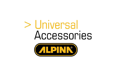# > Universal Accessories

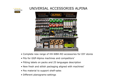

# UNIVERSAL ACCESSORIES ALPINA



- Complete new range of HH-WBH-RO accessories for DIY stores
- Fits for GGP-Alpina machines and competitors'
- Fitting labels on packs and 25 languages description
- New fresh and stilish packaging aligned with machines'
- Pos material to support shelf-sales
- Different planograms-settings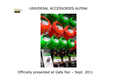#### > Universal<br>Accessories **ALPINK**

# UNIVERSAL ACCESSORIES ALPINA



Officially presented at Gafa Fair – Sept. 2011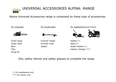

Alpina Universal Accessories range is composed by these type of accessories:



Oils, safety helmet and safety glasses to complete the range

(\*) for walkbehind only(\*\*) for tractor only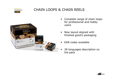

# CHAIN LOOPS & CHAIN REELS



- Complete range of chain loops<br>for professional and hobby for professional and hobby users
- • New layout aligned with finished good's packaging
- •EAN codes available
- • 28 languages description on the pack

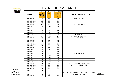# CHAIN LOOPS: RANGE



|                    | <b>PITCH</b>       | <b>GAUGE</b>       | <b>NR OF LINKS</b> |                                                                          |
|--------------------|--------------------|--------------------|--------------------|--------------------------------------------------------------------------|
| <b>ALPINA CODE</b> |                    | ÷<br>$\rightarrow$ | ಅ                  | <b>FITS FOR ALPINA NEW MODELS</b>                                        |
| 1430660-01A        | 1/4"               | .050"              | 60                 | ALPINA CJ 300 C                                                          |
| 1430256-01A        | 325"               | .050"              | 56                 |                                                                          |
| 1430264-01A        | 325"               | .050"              | 64                 |                                                                          |
| 1430266-01A        | 325"               | .050"              | 66                 | ALPINA C 41 T/C 41                                                       |
| 1430272-01A        | 325"               | .050"              | $\overline{72}$    |                                                                          |
| 1430356-01A        | 325"               | .058"              | 56                 |                                                                          |
| 1430364-01A        | 325"               | .058"              | 64                 |                                                                          |
| 1430365-01A        | 325"               | .058"              | 65                 |                                                                          |
| 1430366-01A        | 325"               | .058"              | 66                 | ALPINA C 46                                                              |
| 1430372-01A        | 325"               | .058"              | 72                 | ALPINA C 50/C46/A 4500                                                   |
| 1430378-01A        | 325"               | .058"              | 78                 | ALPINA C 50                                                              |
| 1430568-01A        | 3/8"               | .058"              | 68                 |                                                                          |
| 1430572-01A        | $3/8$ <sup>"</sup> | .058"              | $\overline{72}$    |                                                                          |
| 1430468-01A        | 3/8"               | .058"              | 68                 |                                                                          |
| 1430472-01A        | 3/8"               | .058"              | $\overline{72}$    |                                                                          |
| 1430765-01A        | 3/8"               | .063"              | 65                 |                                                                          |
| 1430769-01A        | 3/8"               | .063"              | 69                 |                                                                          |
| 1430844-01A        | 3/8"               | .43"               | 44                 |                                                                          |
| 1430140-01A        | 3/8"               | .050"              | 40                 | ALPINA CJ 300                                                            |
| 1430144-01A        | 3/8"               | .050"              | 44                 |                                                                          |
| 1430145-01A        | 3/8"               | .050"              | 45                 |                                                                          |
| 1430149-01A        | 3/8"               | .050"              | 49                 |                                                                          |
| 1430150-01A        | 3/8"               | .050"              | 50                 |                                                                          |
| 1430152-01A        | 3/8"               | .050"              | 52                 | ALPINA C 1.8 ET/C 1.8 E/EA 1800                                          |
| 1430153-01A        | 3/8"               | .050"              | 53                 | ALPINA C 38 T/C 38/A 3700                                                |
| 1430154-01A        | 3/8"               | .050"              | 54                 |                                                                          |
| 1430155-01A        | 3/8"               | .050"              | 55                 |                                                                          |
| 1430156-01A        | 3/8"               | .050"              | 56                 |                                                                          |
| 1430157-01A        | 3/8"               | .050"              | 57                 | ALPINA C 38/C 2.2 ET/C 2.2 E/C 2.0 ET/C 2.0 E/EA<br>2000 Q/A 3700/A 4000 |
| 1430160-01A        | 3/8"               | .050"              | 60                 |                                                                          |

 $\mathbb{Z}^2$ 

Complete fitting information in the leaflet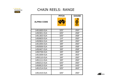

# CHAIN REELS: RANGE

| <b>ALPINA CODE</b> | <b>PITCH</b> | <b>GAUGE</b> |
|--------------------|--------------|--------------|
|                    |              |              |
| 1451600-01A        | 325"         | .050"        |
| 1450301-01A        | 325"         | .058"        |
| 1451302-01A        | 325"         | .058"        |
| 1450603-01A        | 1/4"         | .050"        |
| 1450904-01A        | 3/8"         | .050"        |
| 1451005-01A        | 3/8"         | .050"        |
| 1450506-01A        | 3/8"         | .058"        |
| 1450407-01A        | 3/8"         | .058"        |
| 1450708-01A        | 3/8"         | .063"        |
| 1451509-01A        | 3/8"         | .063"        |
| 1450110-01A        | 3/8"         | .050"        |
| 1451111-01A        | 3/8"         | .050"        |
| 1450212-01A        | 325"         | .050"        |
| 1450813-01A        | 3/8"         | .043"        |
| 1451214-01A        | 325"         | .063"        |
| 1451415-01A        | 325"         | .050"        |

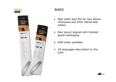



# BARS

- $\bullet$  Best seller bars fits for new Alpina chainsaws and other Alpina best sellers
- • New layout aligned with finished good's packaging
- EAN codes available
- $\bullet$  28 languages description on the pack

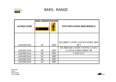

#### BARS: RANGE

|                    | <b>BAR LENGHT GAUGE</b> |       |                                        |
|--------------------|-------------------------|-------|----------------------------------------|
| <b>ALPINA CODE</b> |                         |       | <b>FITS FOR ALPINA NEW MODELS</b>      |
|                    |                         |       |                                        |
|                    |                         |       | EA 1800/C 1.8 E/C 1.8 ET/A 3700/C 38/C |
| 1421404-01A        | 14"                     | .050" | 38 T                                   |
|                    |                         |       | EA 2000 Q/C 2.0 E/C 2.0 ET/C 2.2 E/C   |
| 1421601-01A        | 16"                     | .050" | 2.2 ET/A 3700/A 4000/C 38              |
| 1421605-01A        | 16"                     | .050" | C 41/C 41 T                            |
| 1421400-01A        | 14"                     | .050" |                                        |
| 1421602-01A        | 16"                     | .050" |                                        |
| 1421203-01A        | 12"                     | .050" |                                        |

Complete fitting information in the leaflet

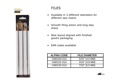



#### FILES

- $\bullet$  Available in 3 different diameters for different saw chains
- $\bullet$  Smooth filing action and long stay sharp
- $\bullet$  New layout aligned with finished good's packaging
- EAN codes available

| <b>ALPINA CODE</b> | <b>FILE DIAMETER</b> |
|--------------------|----------------------|
| 1460100-01A        | $5/32$ " (4,0 MM)    |
| 1460101-01A        | $3/16$ " (4,8 MM)    |
| 1460102-01A        | $7/32$ " (5,5 MM)    |

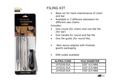



# FILING KIT

- • Basic kit for hand maintenance of chain and bar
- $\bullet$  Available in 3 different diameters for different saw chains

Includes:

- One round (for chain) and one flat file<br>(for har) •(for bar)
- One handle for round and flat file  $\bullet$
- •One file guide (for round file)
- • New layout aligned with finished good's packaging
- •EAN codes available

| <b>ALPINA CODE</b> | <b>FILE DIAMETER</b> |
|--------------------|----------------------|
| 1470100-01A        | $5/32$ " (4,0 MM)    |
| 1470101-01A        | $3/16$ " (4,8 MM)    |
| 1470102-01A        | $7/32$ " (5,5 MM)    |

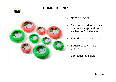

# TRIMMER LINES



- •NEW COLORS!
- • Fluo color to diversificate this new range and be visible on DIY shelves
- •Round section: fluo green
- • Square section: fluo orange
- •Ean codes available

$$
\overline{\phantom{a}}
$$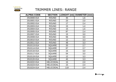

#### TRIMMER LINES: RANGE

| <b>ALPINA CODE</b> | <b>SECTION</b>    | LENGHT (mt) | <b>DIAMETER (mm)</b> |
|--------------------|-------------------|-------------|----------------------|
| 2510000-01A        | <b>ROUND</b>      | 35          | 1,6                  |
| 2510001-01A        | <b>ROUND</b>      | 23          | 2,0                  |
| 2510002-01A        | <b>ROUND</b>      | 17          | 2,4                  |
| 2510003-01A        | <b>ROUND</b>      | 15          | 1,4                  |
| 2510004-01A        | <b>ROUND</b>      | 15          | 1,5                  |
| 2510005-01A        | <b>ROUND</b>      | 87          | 2,4                  |
| 2510007-01A        | <b>ROUND</b>      | 15          | 3,0                  |
| 2510008-01A        | <b>ROUND</b>      | 56          | 3,0                  |
| 2510010-01A        | <b>ROUND</b>      | 12          | 3,3                  |
| 2510011-01A        | <b>ROUND</b>      | 48          | 3,3                  |
| 2510113-01A        | <b>SQUARE</b>     | 20          | 2,7                  |
| 2510114-01A        | <b>SQUARE</b>     | 67          | 2,7                  |
| 2510116-01A        | <b>SQUARE</b>     | 15          | 3,0                  |
| 2510117-01A        | <b>SQUARE</b>     | 54          | 3,0                  |
| 2510119-01A        | <b>SQUARE</b>     | 12          | 3,3                  |
| 2510120-01A        | <b>SQUARE</b>     | 45          | 3,3                  |
| 2510222-01A        | <b>HELICOIDAL</b> | 15          | 2,0                  |
| 2510223-01A        | <b>HELICOIDAL</b> | 15          | 2,4                  |
| 2510224-01A        | <b>HELICOIDAL</b> | 119         | 2,4                  |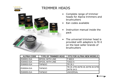

# TRIMMER HEADS



- • Complete range of trimmer heads for Alpina trimmers and **brushcutters**
- Ean codes available •
- • Instruction manual inside the pack
- • The universal trimmer head is provided with adaptors to fit it on the best seller brands of brushcutters

| <b>ALPINA CODE</b> | <b>TYPE OF TRIMMER HEAD</b> | FITS FOR ALPINA NEW MODELS |
|--------------------|-----------------------------|----------------------------|
| 2530001-01A        | <b>SPOOL WITH LINE</b>      | T 600 E                    |
| 2530002-01A        | <b>SPOOL WITH LINE</b>      | T2022 A                    |
| 2530003-01A        | TAP&GO                      | <b>ITR 26 J</b>            |
| 2530004-01A        | TAP&GO                      | 34/TB 34 D                 |
| 2530005-01A        | TAP&GO                      | <b>IUNIVERSAL</b>          |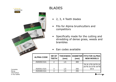

# BLADES

- 2, 3, 4 Teeth blades
- $\bullet$  Fits for Alpina brushcutters and competitors
- • Specifically made for the cutting and shredding of dense grass, weeds and brambles
- •Ean codes available

| <b>ALPINA CODE</b> | <b>NR OF</b><br><b>TEETH</b> | <b>THICKNESS</b><br>(mm) | (mm) | <b>DIAMETER FITS FOR ALPINA</b><br><b>NEW MODELS</b> |
|--------------------|------------------------------|--------------------------|------|------------------------------------------------------|
| 2520202-01A        | $\overline{2}$               | 1,5                      | 300  |                                                      |
|                    |                              |                          |      | TB 26 J/TB 26/TB 26<br><b>JD/TB 26 D/TB 34/TB</b>    |
| 2520311-01A        | 3                            | 1,5                      | 255  | 34 D                                                 |
| 2520400-01A        |                              | 1.5                      | 255  |                                                      |

Complete fitting information in the leaflet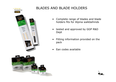





# BLADES AND BLADE HOLDERS

- • Complete range of blades and blade holders fits for Alpina walkbehinds
- $\bullet$  tested and approved by GGP R&D Dept
- • Fitting information provided on the pack
- •Ean codes available

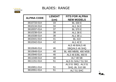



| <b>ALPINA CODE</b> | <b>LENGHT</b> | <b>FITS FOR ALPINA</b>      |
|--------------------|---------------|-----------------------------|
|                    | (cm)          | <b>NEW MODELS</b>           |
| 3610733-01A        | 33            | <b>BL 330 E</b>             |
| 3610134-01A        | 34            | <b>AL1 34 E</b>             |
| 3610037-01A        | 37            | <b>BL 370 E</b>             |
| 3610238-01A        | 38            | <b>AL1 38 E</b>             |
| 3610338-01A        | 38            | <b>AL1 38 Li</b>            |
| 3610441-01A        | 41            | <b>BL 410</b>               |
| 3610342-01A        | 42            | <b>AL1 42 E</b>             |
|                    |               | AL5 46 B/AL5 46             |
| 3610646-01A        | 46            | SBQ/AL5 46 SHQ              |
| 3610848-01A        | 48            | <b>BL 480 MB/BL 480 MSB</b> |
| 3610946-01A        | 46            | AL3 46 E/BL 460 B           |
| 3611048-01A        | 48            | <b>AL7 48 SB</b>            |
| 3611151-01A        | 51            | AL5 51 S/AL7 51 SH          |
|                    |               | AL3 51 SBQ, AL3 51          |
| 3610651-01A        | 51            | <b>SHQ, BL 510 SB</b>       |
| 3610551-01A        | 51            | <b>AL7 51 SHC</b>           |

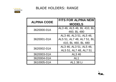

#### BLADE HOLDERS: RANGE

| <b>ALPINA CODE</b> | <b>FITS FOR ALPINA NEW</b><br><b>MODELS</b>                                  |
|--------------------|------------------------------------------------------------------------------|
| 3620000-01A        | AL3 46, AL5 46, BL 410, BL<br>460, BL 480                                    |
| 3620001-01A        | AL3 46, AL3 51, AL5 46,<br>AL5 51, AL7 48, AL7 51, BL<br>410, BL 460, BL 480 |
| 3620002-01A        | AL3 46, AL3 51, AL5 46,<br>AL5 51, AL7 48, AL7 51                            |
| 3620003-01A        | AL3 46                                                                       |
| 3620004-01A        | AL <sub>1</sub>                                                              |
| 3610005-01A        | <b>AL1 38 Li</b>                                                             |

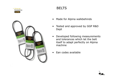



# BELTS

- •Made for Alpina walkbehinds
- • Tested and approved by GGP R&D Dept
- $\bullet$  Developed following measurements and tolerances which let the belt itself to adapt perfectly on Alpina machine
- •Ean codes available

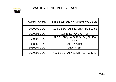

# WALKBEHIND BELTS: RANGE

| <b>ALPINA CODE</b> | <b>FITS FOR ALPINA NEW MODELS</b>            |
|--------------------|----------------------------------------------|
| 3630000-01A        | AL3 51 SBQ, AL3 51 SHQ, BL 510 SB            |
| 3630001-01A        | AL3 46 SE, AND OTHER                         |
| 3630002-01A        | AL5 51 SBQ, AL5 51 SHQ, BL 480<br><b>MSB</b> |
| 3630003-01A        | <b>AL5 51 VHQ</b>                            |
| 3630004-01A        | <b>AL7 48 SB</b>                             |
| 3630005-01A        | AL7 51 SB, AL7 51 SH, AL7 51 SHC             |

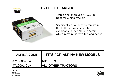

# BATTERY CHARGER

- Tested and approved by GGP R&D<br>Dent for Alnina tractors Dept for Alpina tractors
- • Specifically developed to maintain the battery always in its best conditions, above all for tractors' which remain inactive for long period

| <b>ALPINA CODE</b> | <b>FITS FOR ALPINA NEW MODELS</b> |  |
|--------------------|-----------------------------------|--|
| 4710000-01A        | <b>IRIDER 63</b>                  |  |
| I4710001-01A       | <b>IALL OTHER TRACTORS</b>        |  |

Complete fitting information in the leaflet

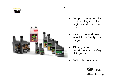



- OILS
- $\bullet$  Complete range of oils for 2 stroke, 4 stroke engines and chainsaw chain
- • New bottles and new layout for a family look range
- • 25 languages descriptions and safety pictograms
- •EAN codes available

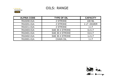

#### OILS: RANGE

| <b>ALPINA CODE</b> | <b>TYPE OF OIL</b> | <b>CAPACITY</b> |
|--------------------|--------------------|-----------------|
| 7810200-01A        | 2 STROKE           | <b>100 ML</b>   |
| 7810201-01A        | 2 STROKE           | 1 LT-DOZER      |
| 7810211-01A        | 2 STROKE           | 1 LT            |
| 7810403-01A        | SAE 30 4 STROKE    | 0,4LT           |
| 7810401-01A        | SAE 30 4 STROKE    | $0,6$ LT        |
| 7810402-01A        | SAE 30 4 STROKE    | 1,4LT           |
| 7810001-01A        | <b>CHAIN OIL</b>   | 1 I T           |

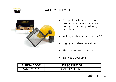

# SAFETY HELMET



- $\bullet$  Complete safety helmet to protect head, eyes and ears during forest and gardening activities
- $\bullet$ Yellow, visible cap made in ABS
- •Highly absorbent sweatband
- $\bullet$ Flexible comfort chinstrap
- $\bullet$ Ean code available

| <b>ALPINA CODE</b> | <b>DESCRIPTION</b> |  |
|--------------------|--------------------|--|
| 6910102-01A        | SAFFTY HFI MFT     |  |

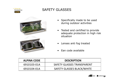

# SAFETY GLASSES





- Specifically made to be used<br>contractivities during outdoor activities
- Tested and certified to provide<br>adequate protection in high risk adequate protection in high risk situation
- Lenses anti fog treated
- Ean code available

| <b>ALPINA CODE</b> | <b>DESCRIPTION</b>                |
|--------------------|-----------------------------------|
| 6910103-01A        | SAFETY GLASSES TRANSPARENT        |
| 6910104-01A        | <b>SAFETY GLASSES BLACK/WHITE</b> |

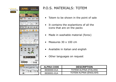

# P.O.S. MATERIALS: TOTEM

- $\bullet$ Totem to be shown in the point of sale
- $\bullet$  It contains the explantions of all the icons that are on the packs
- $\bullet$ Made in washable material (forex)
- $\bullet$ Measures 30 x 100 cm
- $\bullet$ Available in italian and english
- $\bullet$ Other languages on request

| <b>ALPINA CODE</b> | <b>DESCRIPTION</b>            |
|--------------------|-------------------------------|
| 8930000-01A        | TOTEM ALPINA (ITALIAN)        |
| 8930001-01A        | <b>TOTEM ALPINA (ENGLISH)</b> |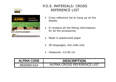

| <b>ALPINN</b>                     | > Universal<br>Accessories   |
|-----------------------------------|------------------------------|
|                                   |                              |
| Accessories<br><b>AVOBS FOZED</b> | 1/2012 - 01.01.2012          |
| Accessores                        | 1/2012 - \$1,012012<br>ZTIGN |

# P.O.S. MATERIALS: CROSS REFERENCE LIST

- Cross reference list to hang up on the display display
- It contains all the fitting informations<br>for all the accessories for all the accessories
- Made in plasticizied paper
- 28 languages, one code only
- $\bullet$ measures: 21x36 cm

| <b>ALPINA CODE</b> | <b>DESCRIPTION</b>          |
|--------------------|-----------------------------|
| 8920000-01A        | ALPINA CROSS REFERENCE LIST |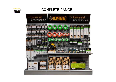

# COMPLETE RANGE